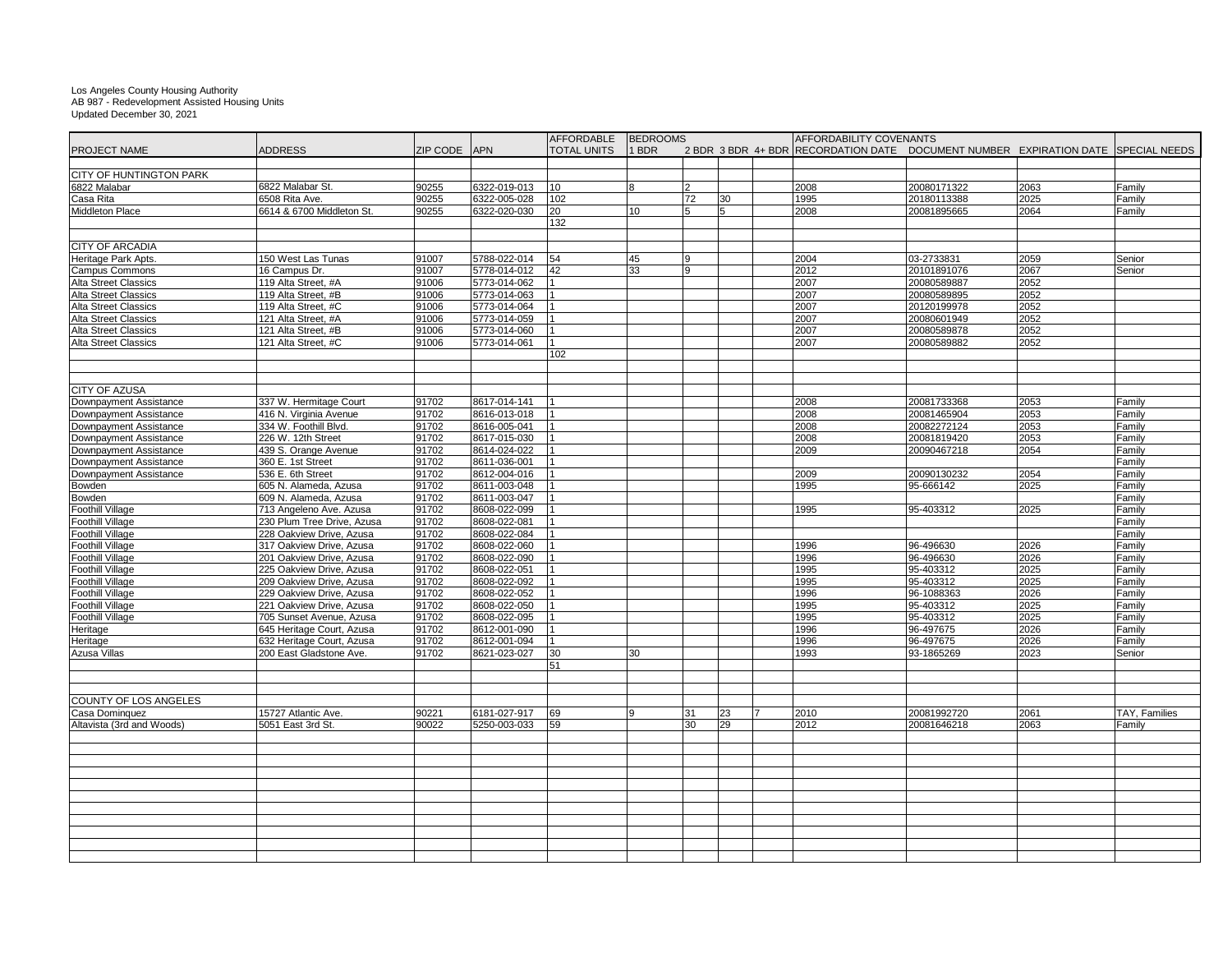## Los Angeles County Housing Authority AB 987 - Redevelopment Assisted Housing Units Updated December 30, 2021

|                                |                            |                     |              | <b>AFFORDABLE</b>  | <b>BEDROOMS</b> |           |    | AFFORDABILITY COVENANTS                                                           |                          |      |                      |
|--------------------------------|----------------------------|---------------------|--------------|--------------------|-----------------|-----------|----|-----------------------------------------------------------------------------------|--------------------------|------|----------------------|
| <b>PROJECT NAME</b>            | <b>ADDRESS</b>             | <b>ZIP CODE</b> APN |              | <b>TOTAL UNITS</b> | $1$ BDR         |           |    | 2 BDR 3 BDR 4+ BDR RECORDATION DATE DOCUMENT NUMBER EXPIRATION DATE SPECIAL NEEDS |                          |      |                      |
|                                |                            |                     |              |                    |                 |           |    |                                                                                   |                          |      |                      |
| <b>CITY OF HUNTINGTON PARK</b> |                            |                     |              |                    |                 |           |    |                                                                                   |                          |      |                      |
| 6822 Malabar                   | 6822 Malabar St.           | 90255               | 6322-019-013 | 10                 |                 | <u> 2</u> |    | 2008                                                                              | 20080171322              | 2063 | <b>Family</b>        |
| Casa Rita                      | 6508 Rita Ave.             | 90255               | 6322-005-028 | 102                |                 | 72        | 30 | 1995                                                                              | 20180113388              | 2025 | Family               |
| <b>Middleton Place</b>         | 6614 & 6700 Middleton St.  | 90255               | 6322-020-030 | 20                 | 10 <sup>°</sup> |           |    | 2008                                                                              | 20081895665              | 2064 | Family               |
|                                |                            |                     |              | 132                |                 |           |    |                                                                                   |                          |      |                      |
|                                |                            |                     |              |                    |                 |           |    |                                                                                   |                          |      |                      |
| <b>CITY OF ARCADIA</b>         |                            |                     |              |                    |                 |           |    |                                                                                   |                          |      |                      |
| Heritage Park Apts.            | 150 West Las Tunas         | 91007               | 5788-022-014 | 54                 | 45              | <b>Q</b>  |    | 2004                                                                              | 03-2733831               | 2059 | Senior               |
| <b>Campus Commons</b>          | 16 Campus Dr.              | 91007               | 5778-014-012 | 42                 | 33              | 9         |    | 2012                                                                              | 20101891076              | 2067 | Senior               |
| <b>Alta Street Classics</b>    | 119 Alta Street, #A        | 91006               | 5773-014-062 |                    |                 |           |    | 2007                                                                              | 20080589887              | 2052 |                      |
| <b>Alta Street Classics</b>    | 119 Alta Street, #B        | 91006               | 5773-014-063 |                    |                 |           |    | 2007                                                                              | 20080589895              | 2052 |                      |
| <b>Alta Street Classics</b>    | 119 Alta Street, #C        | 91006               | 5773-014-064 |                    |                 |           |    | 2007                                                                              | 20120199978              | 2052 |                      |
| <b>Alta Street Classics</b>    | 121 Alta Street, #A        | 91006               | 5773-014-059 |                    |                 |           |    | 2007                                                                              | 20080601949              | 2052 |                      |
| <b>Alta Street Classics</b>    | 121 Alta Street, #B        | 91006               | 5773-014-060 |                    |                 |           |    | 2007                                                                              | 20080589878              | 2052 |                      |
| <b>Alta Street Classics</b>    | 121 Alta Street, #C        | 91006               | 5773-014-061 |                    |                 |           |    | 2007                                                                              | 20080589882              | 2052 |                      |
|                                |                            |                     |              | 102                |                 |           |    |                                                                                   |                          |      |                      |
|                                |                            |                     |              |                    |                 |           |    |                                                                                   |                          |      |                      |
|                                |                            |                     |              |                    |                 |           |    |                                                                                   |                          |      |                      |
|                                |                            |                     |              |                    |                 |           |    |                                                                                   |                          |      |                      |
| <b>CITY OF AZUSA</b>           |                            |                     |              |                    |                 |           |    |                                                                                   |                          |      |                      |
| Downpayment Assistance         | 337 W. Hermitage Court     | 91702               | 8617-014-141 |                    |                 |           |    | 2008                                                                              | 20081733368              | 2053 | Family               |
| Downpayment Assistance         | 416 N. Virginia Avenue     | 91702               | 8616-013-018 |                    |                 |           |    | 2008                                                                              | 20081465904              | 2053 | Family               |
| Downpayment Assistance         | 334 W. Foothill Blvd.      | 91702               | 8616-005-041 |                    |                 |           |    | 2008                                                                              | 20082272124              | 2053 | Family               |
| Downpayment Assistance         | 226 W. 12th Street         | 91702               | 8617-015-030 |                    |                 |           |    | 2008                                                                              | 20081819420              | 2053 | Family               |
| Downpayment Assistance         | 439 S. Orange Avenue       | 91702               | 8614-024-022 |                    |                 |           |    | 2009                                                                              | 20090467218              | 2054 | Family               |
| Downpayment Assistance         | 360 E. 1st Street          | 91702               | 8611-036-001 |                    |                 |           |    |                                                                                   |                          |      | Family               |
| Downpayment Assistance         | 536 E. 6th Street          | 91702               | 8612-004-016 |                    |                 |           |    | 2009                                                                              | 20090130232              | 2054 | Family               |
| Bowden                         | 605 N. Alameda, Azusa      | 91702               | 8611-003-048 |                    |                 |           |    | 1995                                                                              | 95-666142                | 2025 | Family               |
| Bowden                         | 609 N. Alameda, Azusa      | 91702               | 8611-003-047 |                    |                 |           |    |                                                                                   |                          |      | Family               |
| <b>Foothill Village</b>        | 713 Angeleno Ave. Azusa    | 91702               | 8608-022-099 |                    |                 |           |    | 1995                                                                              | $\sqrt{95-403312}$       | 2025 | Family               |
| <b>Foothill Village</b>        | 230 Plum Tree Drive, Azusa | 91702               | 8608-022-081 |                    |                 |           |    |                                                                                   |                          |      | Family               |
| <b>Foothill Village</b>        | 228 Oakview Drive, Azusa   | 91702               | 8608-022-084 |                    |                 |           |    |                                                                                   |                          |      | Family               |
| <b>Foothill Village</b>        | 317 Oakview Drive, Azusa   | 91702               | 8608-022-060 |                    |                 |           |    | 1996                                                                              | 96-496630                | 2026 | Family               |
| <b>Foothill Village</b>        | 201 Oakview Drive, Azusa   | 91702               | 8608-022-090 |                    |                 |           |    | 1996                                                                              | 96-496630                | 2026 | Family               |
| <b>Foothill Village</b>        | 225 Oakview Drive, Azusa   | 91702               | 8608-022-051 |                    |                 |           |    | 1995                                                                              | 95-403312                | 2025 | Family               |
| <b>Foothill Village</b>        | 209 Oakview Drive, Azusa   | 91702               | 8608-022-092 |                    |                 |           |    | 1995                                                                              | $\overline{95} - 403312$ | 2025 | Family               |
| <b>Foothill Village</b>        | 229 Oakview Drive, Azusa   | 91702               | 8608-022-052 |                    |                 |           |    | 1996                                                                              | 96-1088363               | 2026 | Family               |
| <b>Foothill Village</b>        | 221 Oakview Drive, Azusa   | 91702               | 8608-022-050 |                    |                 |           |    | 1995                                                                              | 95-403312                | 2025 | Family               |
| <b>Foothill Village</b>        | 705 Sunset Avenue, Azusa   | 91702               | 8608-022-095 |                    |                 |           |    | 1995                                                                              | 95-403312                | 2025 | Family               |
| Heritage                       | 645 Heritage Court, Azusa  | 91702               | 8612-001-090 |                    |                 |           |    | 1996                                                                              | 96-497675                | 2026 | Family               |
| Heritage                       | 632 Heritage Court, Azusa  | 91702               | 8612-001-094 |                    |                 |           |    | 1996                                                                              | 96-497675                | 2026 | Family               |
| <b>Azusa Villas</b>            | 200 East Gladstone Ave.    | 91702               | 8621-023-027 | 30                 | 30              |           |    | 1993                                                                              | 93-1865269               | 2023 | Senior               |
|                                |                            |                     |              | 51                 |                 |           |    |                                                                                   |                          |      |                      |
|                                |                            |                     |              |                    |                 |           |    |                                                                                   |                          |      |                      |
|                                |                            |                     |              |                    |                 |           |    |                                                                                   |                          |      |                      |
| COUNTY OF LOS ANGELES          |                            |                     |              |                    |                 |           |    |                                                                                   |                          |      |                      |
| Casa Dominguez                 | 15727 Atlantic Ave.        | 90221               | 6181-027-917 | 69                 |                 | 31        | 23 | 2010                                                                              | 20081992720              | 2061 | <b>TAY, Families</b> |
| Altavista (3rd and Woods)      | 5051 East 3rd St.          | 90022               | 5250-003-033 | 59                 |                 | 30        | 29 | 2012                                                                              | 20081646218              | 2063 | Family               |
|                                |                            |                     |              |                    |                 |           |    |                                                                                   |                          |      |                      |
|                                |                            |                     |              |                    |                 |           |    |                                                                                   |                          |      |                      |
|                                |                            |                     |              |                    |                 |           |    |                                                                                   |                          |      |                      |
|                                |                            |                     |              |                    |                 |           |    |                                                                                   |                          |      |                      |
|                                |                            |                     |              |                    |                 |           |    |                                                                                   |                          |      |                      |
|                                |                            |                     |              |                    |                 |           |    |                                                                                   |                          |      |                      |
|                                |                            |                     |              |                    |                 |           |    |                                                                                   |                          |      |                      |
|                                |                            |                     |              |                    |                 |           |    |                                                                                   |                          |      |                      |
|                                |                            |                     |              |                    |                 |           |    |                                                                                   |                          |      |                      |
|                                |                            |                     |              |                    |                 |           |    |                                                                                   |                          |      |                      |
|                                |                            |                     |              |                    |                 |           |    |                                                                                   |                          |      |                      |
|                                |                            |                     |              |                    |                 |           |    |                                                                                   |                          |      |                      |